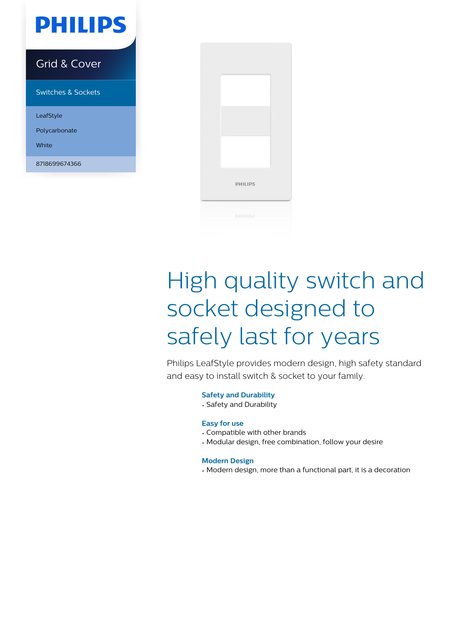

White

8718699674366



# High quality switch and socket designed to safely last for years

Philips LeafStyle provides modern design, high safety standard and easy to install switch & socket to your family.

#### **Safety and Durability**

• Safety and Durability

#### **Easy for use**

- Compatible with other brands
- Modular design, free combination, follow your desire

#### **Modern Design**

• Modern design, more than a functional part, it is a decoration